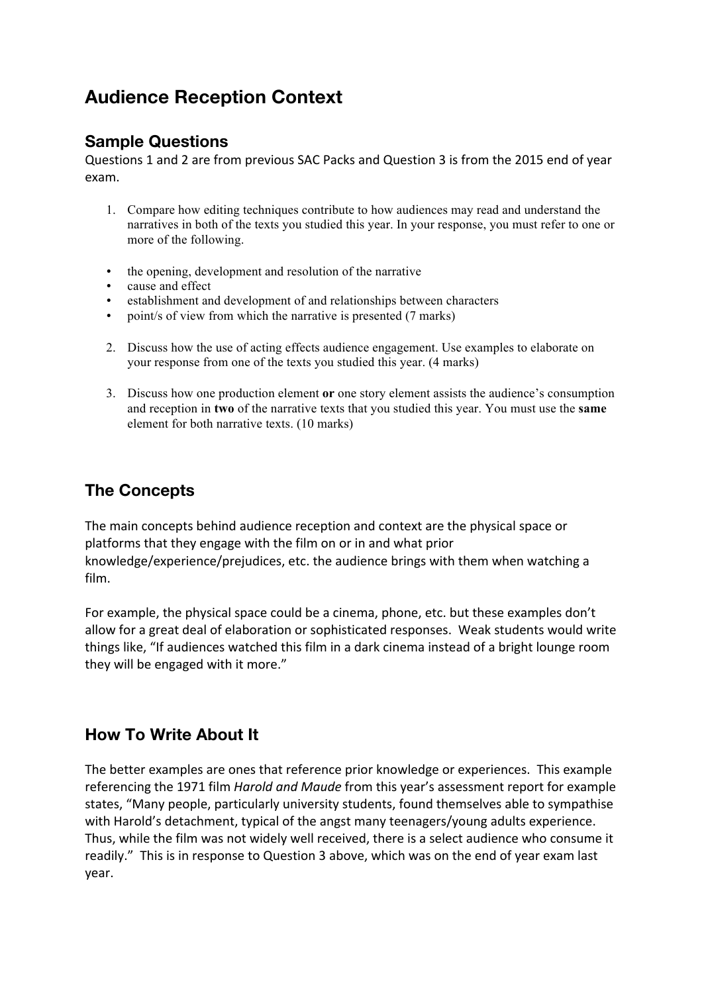# **Audience Reception Context**

#### **Sample Questions**

Questions 1 and 2 are from previous SAC Packs and Question 3 is from the 2015 end of year exam.

- 1. Compare how editing techniques contribute to how audiences may read and understand the narratives in both of the texts you studied this year. In your response, you must refer to one or more of the following.
- the opening, development and resolution of the narrative
- cause and effect
- establishment and development of and relationships between characters
- point/s of view from which the narrative is presented (7 marks)
- 2. Discuss how the use of acting effects audience engagement. Use examples to elaborate on your response from one of the texts you studied this year. (4 marks)
- 3. Discuss how one production element **or** one story element assists the audience's consumption and reception in **two** of the narrative texts that you studied this year. You must use the **same**  element for both narrative texts. (10 marks)

## **The Concepts**

The main concepts behind audience reception and context are the physical space or platforms that they engage with the film on or in and what prior knowledge/experience/prejudices, etc. the audience brings with them when watching a film. 

For example, the physical space could be a cinema, phone, etc. but these examples don't allow for a great deal of elaboration or sophisticated responses. Weak students would write things like, "If audiences watched this film in a dark cinema instead of a bright lounge room they will be engaged with it more."

#### **How To Write About It**

The better examples are ones that reference prior knowledge or experiences. This example referencing the 1971 film *Harold and Maude* from this year's assessment report for example states, "Many people, particularly university students, found themselves able to sympathise with Harold's detachment, typical of the angst many teenagers/young adults experience. Thus, while the film was not widely well received, there is a select audience who consume it readily." This is in response to Question 3 above, which was on the end of year exam last year.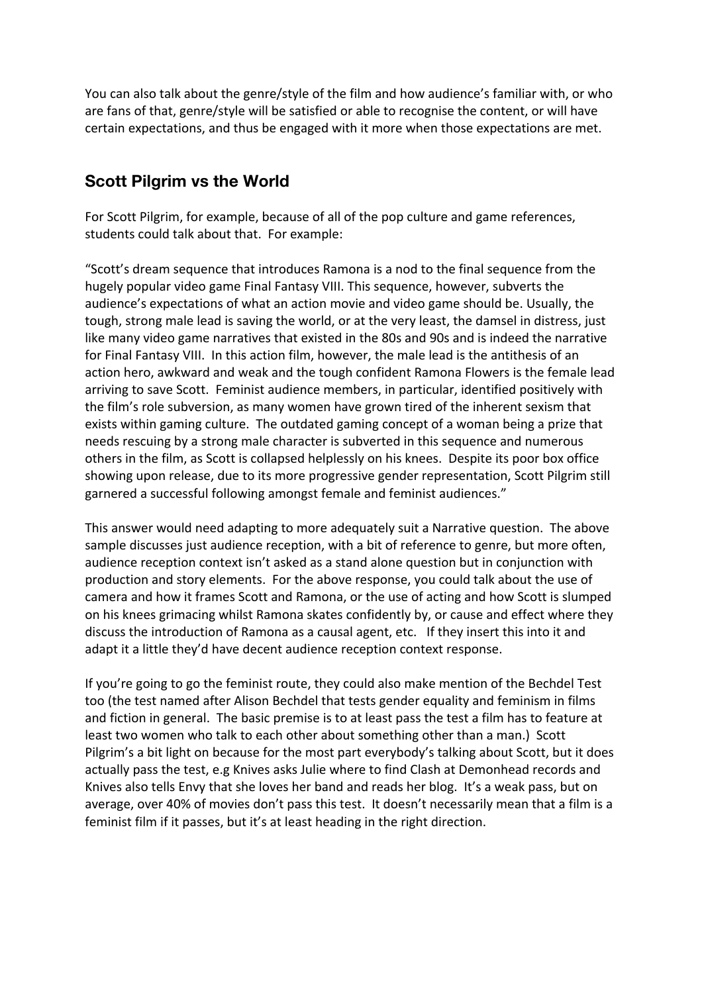You can also talk about the genre/style of the film and how audience's familiar with, or who are fans of that, genre/style will be satisfied or able to recognise the content, or will have certain expectations, and thus be engaged with it more when those expectations are met.

#### **Scott Pilgrim vs the World**

For Scott Pilgrim, for example, because of all of the pop culture and game references, students could talk about that. For example:

"Scott's dream sequence that introduces Ramona is a nod to the final sequence from the hugely popular video game Final Fantasy VIII. This sequence, however, subverts the audience's expectations of what an action movie and video game should be. Usually, the tough, strong male lead is saving the world, or at the very least, the damsel in distress, just like many video game narratives that existed in the 80s and 90s and is indeed the narrative for Final Fantasy VIII. In this action film, however, the male lead is the antithesis of an action hero, awkward and weak and the tough confident Ramona Flowers is the female lead arriving to save Scott. Feminist audience members, in particular, identified positively with the film's role subversion, as many women have grown tired of the inherent sexism that exists within gaming culture. The outdated gaming concept of a woman being a prize that needs rescuing by a strong male character is subverted in this sequence and numerous others in the film, as Scott is collapsed helplessly on his knees. Despite its poor box office showing upon release, due to its more progressive gender representation, Scott Pilgrim still garnered a successful following amongst female and feminist audiences."

This answer would need adapting to more adequately suit a Narrative question. The above sample discusses just audience reception, with a bit of reference to genre, but more often, audience reception context isn't asked as a stand alone question but in conjunction with production and story elements. For the above response, you could talk about the use of camera and how it frames Scott and Ramona, or the use of acting and how Scott is slumped on his knees grimacing whilst Ramona skates confidently by, or cause and effect where they discuss the introduction of Ramona as a causal agent, etc. If they insert this into it and adapt it a little they'd have decent audience reception context response.

If you're going to go the feminist route, they could also make mention of the Bechdel Test too (the test named after Alison Bechdel that tests gender equality and feminism in films and fiction in general. The basic premise is to at least pass the test a film has to feature at least two women who talk to each other about something other than a man.) Scott Pilgrim's a bit light on because for the most part everybody's talking about Scott, but it does actually pass the test, e.g Knives asks Julie where to find Clash at Demonhead records and Knives also tells Envy that she loves her band and reads her blog. It's a weak pass, but on average, over 40% of movies don't pass this test. It doesn't necessarily mean that a film is a feminist film if it passes, but it's at least heading in the right direction.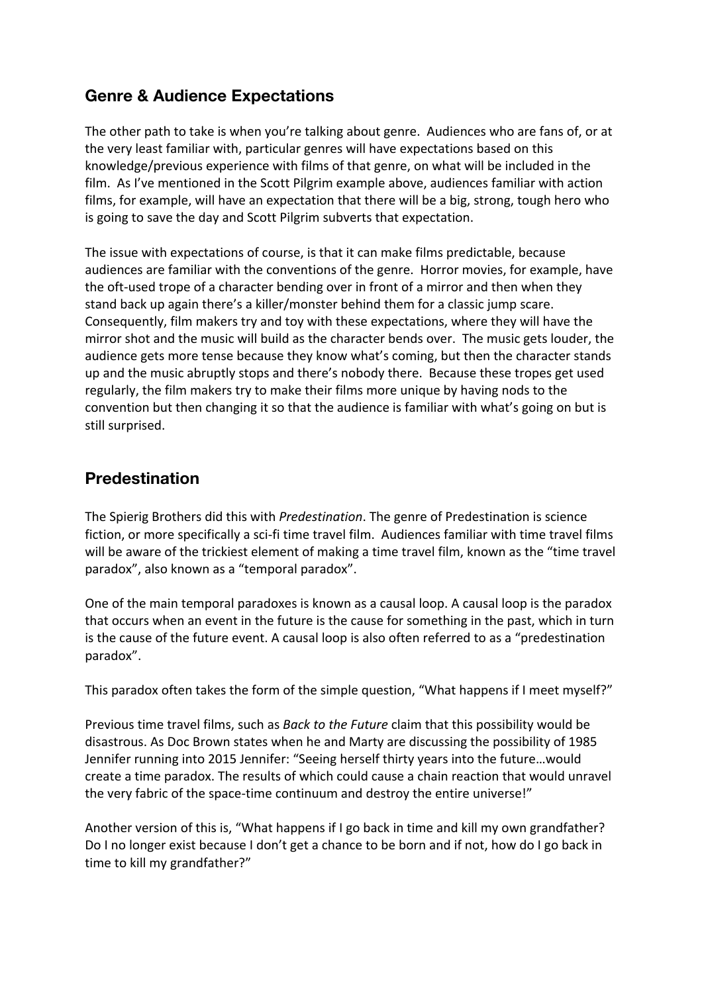### **Genre & Audience Expectations**

The other path to take is when you're talking about genre. Audiences who are fans of, or at the very least familiar with, particular genres will have expectations based on this knowledge/previous experience with films of that genre, on what will be included in the film. As I've mentioned in the Scott Pilgrim example above, audiences familiar with action films, for example, will have an expectation that there will be a big, strong, tough hero who is going to save the day and Scott Pilgrim subverts that expectation.

The issue with expectations of course, is that it can make films predictable, because audiences are familiar with the conventions of the genre. Horror movies, for example, have the oft-used trope of a character bending over in front of a mirror and then when they stand back up again there's a killer/monster behind them for a classic jump scare. Consequently, film makers try and toy with these expectations, where they will have the mirror shot and the music will build as the character bends over. The music gets louder, the audience gets more tense because they know what's coming, but then the character stands up and the music abruptly stops and there's nobody there. Because these tropes get used regularly, the film makers try to make their films more unique by having nods to the convention but then changing it so that the audience is familiar with what's going on but is still surprised.

## **Predestination**

The Spierig Brothers did this with *Predestination*. The genre of Predestination is science fiction, or more specifically a sci-fi time travel film. Audiences familiar with time travel films will be aware of the trickiest element of making a time travel film, known as the "time travel paradox", also known as a "temporal paradox".

One of the main temporal paradoxes is known as a causal loop. A causal loop is the paradox that occurs when an event in the future is the cause for something in the past, which in turn is the cause of the future event. A causal loop is also often referred to as a "predestination paradox".

This paradox often takes the form of the simple question, "What happens if I meet myself?"

Previous time travel films, such as *Back to the Future* claim that this possibility would be disastrous. As Doc Brown states when he and Marty are discussing the possibility of 1985 Jennifer running into 2015 Jennifer: "Seeing herself thirty years into the future...would create a time paradox. The results of which could cause a chain reaction that would unravel the very fabric of the space-time continuum and destroy the entire universe!"

Another version of this is, "What happens if I go back in time and kill my own grandfather? Do I no longer exist because I don't get a chance to be born and if not, how do I go back in time to kill my grandfather?"